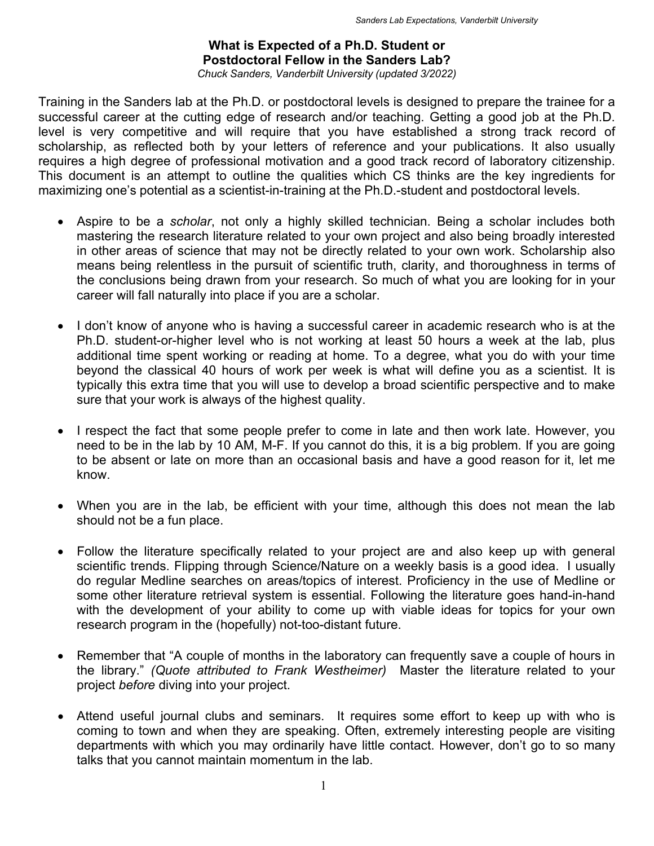## **What is Expected of a Ph.D. Student or Postdoctoral Fellow in the Sanders Lab?**  *Chuck Sanders, Vanderbilt University (updated 3/2022)*

Training in the Sanders lab at the Ph.D. or postdoctoral levels is designed to prepare the trainee for a successful career at the cutting edge of research and/or teaching. Getting a good job at the Ph.D. level is very competitive and will require that you have established a strong track record of scholarship, as reflected both by your letters of reference and your publications. It also usually requires a high degree of professional motivation and a good track record of laboratory citizenship. This document is an attempt to outline the qualities which CS thinks are the key ingredients for maximizing one's potential as a scientist-in-training at the Ph.D.-student and postdoctoral levels.

- Aspire to be a *scholar*, not only a highly skilled technician. Being a scholar includes both mastering the research literature related to your own project and also being broadly interested in other areas of science that may not be directly related to your own work. Scholarship also means being relentless in the pursuit of scientific truth, clarity, and thoroughness in terms of the conclusions being drawn from your research. So much of what you are looking for in your career will fall naturally into place if you are a scholar.
- I don't know of anyone who is having a successful career in academic research who is at the Ph.D. student-or-higher level who is not working at least 50 hours a week at the lab, plus additional time spent working or reading at home. To a degree, what you do with your time beyond the classical 40 hours of work per week is what will define you as a scientist. It is typically this extra time that you will use to develop a broad scientific perspective and to make sure that your work is always of the highest quality.
- I respect the fact that some people prefer to come in late and then work late. However, you need to be in the lab by 10 AM, M-F. If you cannot do this, it is a big problem. If you are going to be absent or late on more than an occasional basis and have a good reason for it, let me know.
- When you are in the lab, be efficient with your time, although this does not mean the lab should not be a fun place.
- Follow the literature specifically related to your project are and also keep up with general scientific trends. Flipping through Science/Nature on a weekly basis is a good idea. I usually do regular Medline searches on areas/topics of interest. Proficiency in the use of Medline or some other literature retrieval system is essential. Following the literature goes hand-in-hand with the development of your ability to come up with viable ideas for topics for your own research program in the (hopefully) not-too-distant future.
- Remember that "A couple of months in the laboratory can frequently save a couple of hours in the library." *(Quote attributed to Frank Westheimer)* Master the literature related to your project *before* diving into your project.
- Attend useful journal clubs and seminars. It requires some effort to keep up with who is coming to town and when they are speaking. Often, extremely interesting people are visiting departments with which you may ordinarily have little contact. However, don't go to so many talks that you cannot maintain momentum in the lab.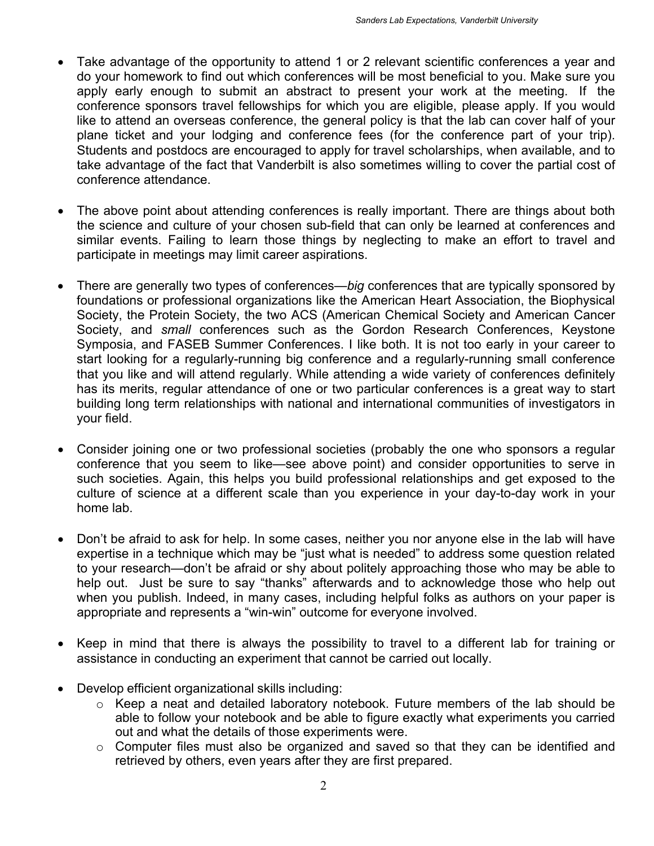- Take advantage of the opportunity to attend 1 or 2 relevant scientific conferences a year and do your homework to find out which conferences will be most beneficial to you. Make sure you apply early enough to submit an abstract to present your work at the meeting. If the conference sponsors travel fellowships for which you are eligible, please apply. If you would like to attend an overseas conference, the general policy is that the lab can cover half of your plane ticket and your lodging and conference fees (for the conference part of your trip). Students and postdocs are encouraged to apply for travel scholarships, when available, and to take advantage of the fact that Vanderbilt is also sometimes willing to cover the partial cost of conference attendance.
- The above point about attending conferences is really important. There are things about both the science and culture of your chosen sub-field that can only be learned at conferences and similar events. Failing to learn those things by neglecting to make an effort to travel and participate in meetings may limit career aspirations.
- There are generally two types of conferences—*big* conferences that are typically sponsored by foundations or professional organizations like the American Heart Association, the Biophysical Society, the Protein Society, the two ACS (American Chemical Society and American Cancer Society, and *small* conferences such as the Gordon Research Conferences, Keystone Symposia, and FASEB Summer Conferences. I like both. It is not too early in your career to start looking for a regularly-running big conference and a regularly-running small conference that you like and will attend regularly. While attending a wide variety of conferences definitely has its merits, regular attendance of one or two particular conferences is a great way to start building long term relationships with national and international communities of investigators in your field.
- Consider joining one or two professional societies (probably the one who sponsors a regular conference that you seem to like—see above point) and consider opportunities to serve in such societies. Again, this helps you build professional relationships and get exposed to the culture of science at a different scale than you experience in your day-to-day work in your home lab.
- Don't be afraid to ask for help. In some cases, neither you nor anyone else in the lab will have expertise in a technique which may be "just what is needed" to address some question related to your research—don't be afraid or shy about politely approaching those who may be able to help out. Just be sure to say "thanks" afterwards and to acknowledge those who help out when you publish. Indeed, in many cases, including helpful folks as authors on your paper is appropriate and represents a "win-win" outcome for everyone involved.
- Keep in mind that there is always the possibility to travel to a different lab for training or assistance in conducting an experiment that cannot be carried out locally.
- Develop efficient organizational skills including:
	- o Keep a neat and detailed laboratory notebook. Future members of the lab should be able to follow your notebook and be able to figure exactly what experiments you carried out and what the details of those experiments were.
	- o Computer files must also be organized and saved so that they can be identified and retrieved by others, even years after they are first prepared.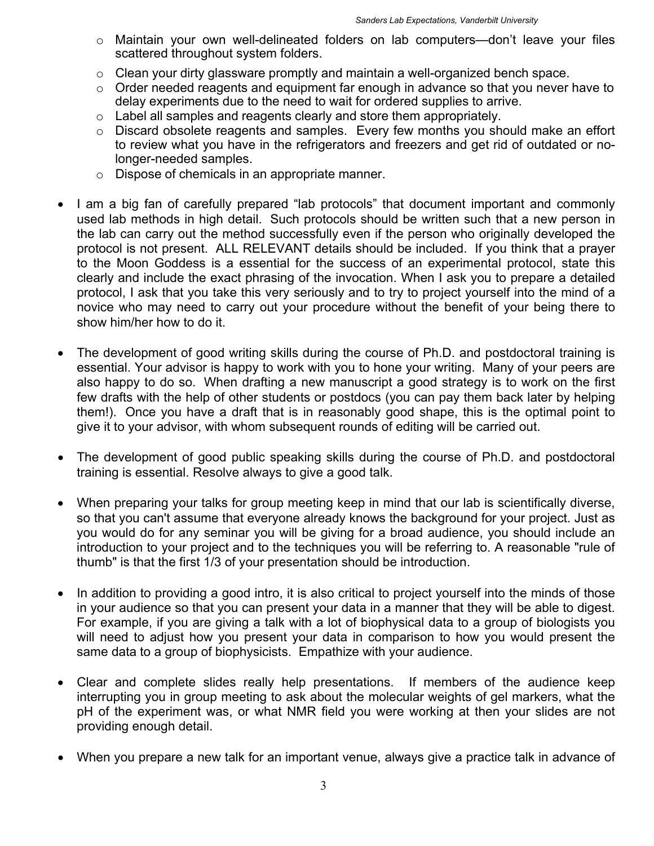- o Maintain your own well-delineated folders on lab computers—don't leave your files scattered throughout system folders.
- $\circ$  Clean your dirty glassware promptly and maintain a well-organized bench space.
- o Order needed reagents and equipment far enough in advance so that you never have to delay experiments due to the need to wait for ordered supplies to arrive.
- $\circ$  Label all samples and reagents clearly and store them appropriately.
- o Discard obsolete reagents and samples. Every few months you should make an effort to review what you have in the refrigerators and freezers and get rid of outdated or nolonger-needed samples.
- o Dispose of chemicals in an appropriate manner.
- I am a big fan of carefully prepared "lab protocols" that document important and commonly used lab methods in high detail. Such protocols should be written such that a new person in the lab can carry out the method successfully even if the person who originally developed the protocol is not present. ALL RELEVANT details should be included. If you think that a prayer to the Moon Goddess is a essential for the success of an experimental protocol, state this clearly and include the exact phrasing of the invocation. When I ask you to prepare a detailed protocol, I ask that you take this very seriously and to try to project yourself into the mind of a novice who may need to carry out your procedure without the benefit of your being there to show him/her how to do it.
- The development of good writing skills during the course of Ph.D. and postdoctoral training is essential. Your advisor is happy to work with you to hone your writing. Many of your peers are also happy to do so. When drafting a new manuscript a good strategy is to work on the first few drafts with the help of other students or postdocs (you can pay them back later by helping them!). Once you have a draft that is in reasonably good shape, this is the optimal point to give it to your advisor, with whom subsequent rounds of editing will be carried out.
- The development of good public speaking skills during the course of Ph.D. and postdoctoral training is essential. Resolve always to give a good talk.
- When preparing your talks for group meeting keep in mind that our lab is scientifically diverse, so that you can't assume that everyone already knows the background for your project. Just as you would do for any seminar you will be giving for a broad audience, you should include an introduction to your project and to the techniques you will be referring to. A reasonable "rule of thumb" is that the first 1/3 of your presentation should be introduction.
- In addition to providing a good intro, it is also critical to project yourself into the minds of those in your audience so that you can present your data in a manner that they will be able to digest. For example, if you are giving a talk with a lot of biophysical data to a group of biologists you will need to adjust how you present your data in comparison to how you would present the same data to a group of biophysicists. Empathize with your audience.
- Clear and complete slides really help presentations. If members of the audience keep interrupting you in group meeting to ask about the molecular weights of gel markers, what the pH of the experiment was, or what NMR field you were working at then your slides are not providing enough detail.
- When you prepare a new talk for an important venue, always give a practice talk in advance of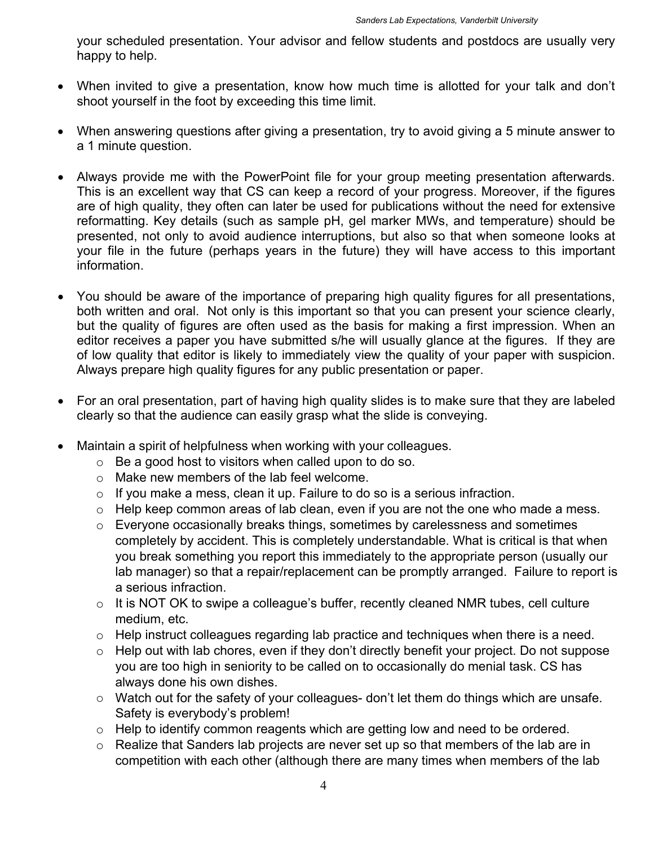your scheduled presentation. Your advisor and fellow students and postdocs are usually very happy to help.

- When invited to give a presentation, know how much time is allotted for your talk and don't shoot yourself in the foot by exceeding this time limit.
- When answering questions after giving a presentation, try to avoid giving a 5 minute answer to a 1 minute question.
- Always provide me with the PowerPoint file for your group meeting presentation afterwards. This is an excellent way that CS can keep a record of your progress. Moreover, if the figures are of high quality, they often can later be used for publications without the need for extensive reformatting. Key details (such as sample pH, gel marker MWs, and temperature) should be presented, not only to avoid audience interruptions, but also so that when someone looks at your file in the future (perhaps years in the future) they will have access to this important information.
- You should be aware of the importance of preparing high quality figures for all presentations, both written and oral. Not only is this important so that you can present your science clearly, but the quality of figures are often used as the basis for making a first impression. When an editor receives a paper you have submitted s/he will usually glance at the figures. If they are of low quality that editor is likely to immediately view the quality of your paper with suspicion. Always prepare high quality figures for any public presentation or paper.
- For an oral presentation, part of having high quality slides is to make sure that they are labeled clearly so that the audience can easily grasp what the slide is conveying.
- Maintain a spirit of helpfulness when working with your colleagues.
	- o Be a good host to visitors when called upon to do so.
	- o Make new members of the lab feel welcome.
	- $\circ$  If you make a mess, clean it up. Failure to do so is a serious infraction.
	- $\circ$  Help keep common areas of lab clean, even if you are not the one who made a mess.
	- o Everyone occasionally breaks things, sometimes by carelessness and sometimes completely by accident. This is completely understandable. What is critical is that when you break something you report this immediately to the appropriate person (usually our lab manager) so that a repair/replacement can be promptly arranged. Failure to report is a serious infraction.
	- $\circ$  It is NOT OK to swipe a colleague's buffer, recently cleaned NMR tubes, cell culture medium, etc.
	- $\circ$  Help instruct colleagues regarding lab practice and techniques when there is a need.
	- o Help out with lab chores, even if they don't directly benefit your project. Do not suppose you are too high in seniority to be called on to occasionally do menial task. CS has always done his own dishes.
	- o Watch out for the safety of your colleagues- don't let them do things which are unsafe. Safety is everybody's problem!
	- $\circ$  Help to identify common reagents which are getting low and need to be ordered.
	- o Realize that Sanders lab projects are never set up so that members of the lab are in competition with each other (although there are many times when members of the lab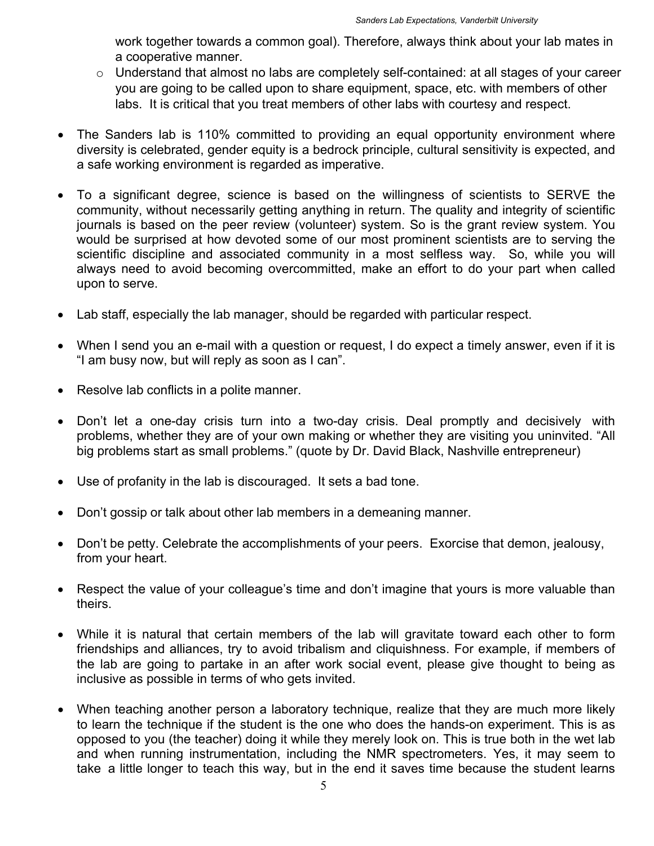work together towards a common goal). Therefore, always think about your lab mates in a cooperative manner.

- o Understand that almost no labs are completely self-contained: at all stages of your career you are going to be called upon to share equipment, space, etc. with members of other labs. It is critical that you treat members of other labs with courtesy and respect.
- The Sanders lab is 110% committed to providing an equal opportunity environment where diversity is celebrated, gender equity is a bedrock principle, cultural sensitivity is expected, and a safe working environment is regarded as imperative.
- To a significant degree, science is based on the willingness of scientists to SERVE the community, without necessarily getting anything in return. The quality and integrity of scientific journals is based on the peer review (volunteer) system. So is the grant review system. You would be surprised at how devoted some of our most prominent scientists are to serving the scientific discipline and associated community in a most selfless way. So, while you will always need to avoid becoming overcommitted, make an effort to do your part when called upon to serve.
- Lab staff, especially the lab manager, should be regarded with particular respect.
- When I send you an e-mail with a question or request, I do expect a timely answer, even if it is "I am busy now, but will reply as soon as I can".
- Resolve lab conflicts in a polite manner.
- Don't let a one-day crisis turn into a two-day crisis. Deal promptly and decisively with problems, whether they are of your own making or whether they are visiting you uninvited. "All big problems start as small problems." (quote by Dr. David Black, Nashville entrepreneur)
- Use of profanity in the lab is discouraged. It sets a bad tone.
- Don't gossip or talk about other lab members in a demeaning manner.
- Don't be petty. Celebrate the accomplishments of your peers. Exorcise that demon, jealousy, from your heart.
- Respect the value of your colleague's time and don't imagine that yours is more valuable than theirs.
- While it is natural that certain members of the lab will gravitate toward each other to form friendships and alliances, try to avoid tribalism and cliquishness. For example, if members of the lab are going to partake in an after work social event, please give thought to being as inclusive as possible in terms of who gets invited.
- When teaching another person a laboratory technique, realize that they are much more likely to learn the technique if the student is the one who does the hands-on experiment. This is as opposed to you (the teacher) doing it while they merely look on. This is true both in the wet lab and when running instrumentation, including the NMR spectrometers. Yes, it may seem to take a little longer to teach this way, but in the end it saves time because the student learns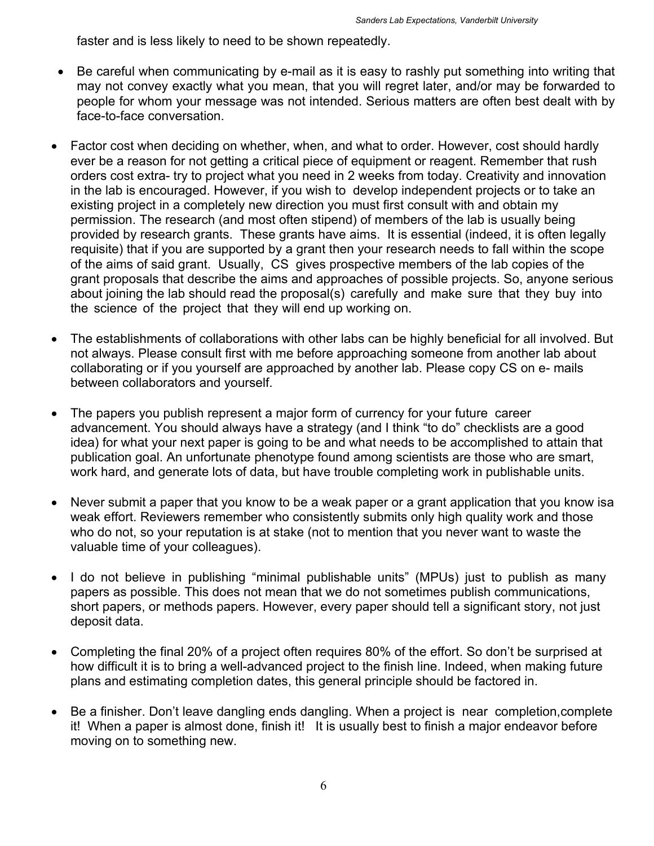faster and is less likely to need to be shown repeatedly.

- Be careful when communicating by e-mail as it is easy to rashly put something into writing that may not convey exactly what you mean, that you will regret later, and/or may be forwarded to people for whom your message was not intended. Serious matters are often best dealt with by face-to-face conversation.
- Factor cost when deciding on whether, when, and what to order. However, cost should hardly ever be a reason for not getting a critical piece of equipment or reagent. Remember that rush orders cost extra- try to project what you need in 2 weeks from today. Creativity and innovation in the lab is encouraged. However, if you wish to develop independent projects or to take an existing project in a completely new direction you must first consult with and obtain my permission. The research (and most often stipend) of members of the lab is usually being provided by research grants. These grants have aims. It is essential (indeed, it is often legally requisite) that if you are supported by a grant then your research needs to fall within the scope of the aims of said grant. Usually, CS gives prospective members of the lab copies of the grant proposals that describe the aims and approaches of possible projects. So, anyone serious about joining the lab should read the proposal(s) carefully and make sure that they buy into the science of the project that theywill end up working on.
- The establishments of collaborations with other labs can be highly beneficial for all involved. But not always. Please consult first with me before approaching someone from another lab about collaborating or if you yourself are approached by another lab. Please copy CS on e- mails between collaborators and yourself.
- The papers you publish represent a major form of currency for your future career advancement. You should always have a strategy (and I think "to do" checklists are a good idea) for what your next paper is going to be and what needs to be accomplished to attain that publication goal. An unfortunate phenotype found among scientists are those who are smart, work hard, and generate lots of data, but have trouble completing work in publishable units.
- Never submit a paper that you know to be a weak paper or a grant application that you know is a weak effort. Reviewers remember who consistently submits only high quality work and those who do not, so your reputation is at stake (not to mention that you never want to waste the valuable time of your colleagues).
- I do not believe in publishing "minimal publishable units" (MPUs) just to publish as many papers as possible. This does not mean that we do not sometimes publish communications, short papers, or methods papers. However, every paper should tell a significant story, not just deposit data.
- Completing the final 20% of a project often requires 80% of the effort. So don't be surprised at how difficult it is to bring a well-advanced project to the finish line. Indeed, when making future plans and estimating completion dates, this general principle should be factored in.
- Be a finisher. Don't leave dangling ends dangling. When a project is near completion, complete it! When a paper is almost done, finish it! It is usually best to finish a major endeavor before moving on to something new.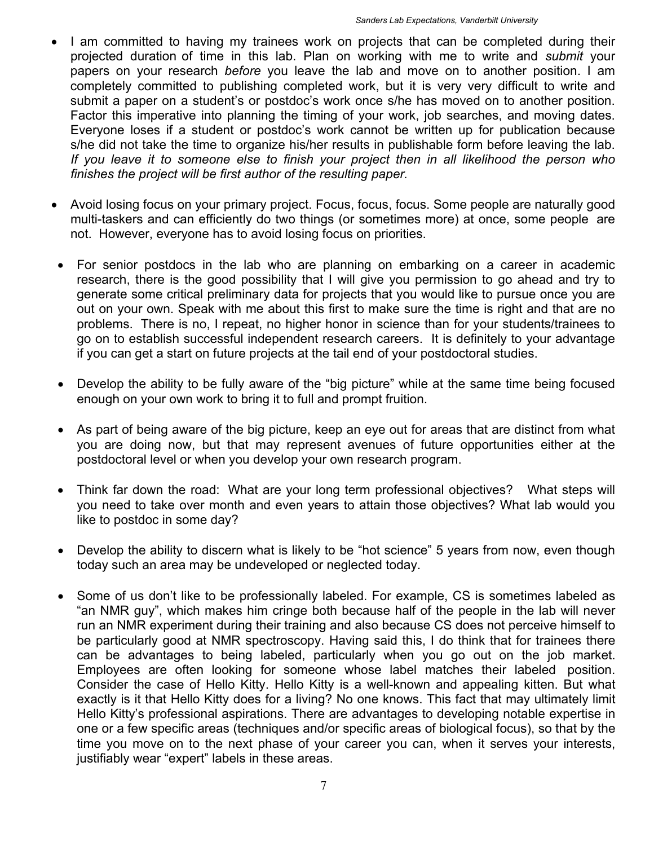- I am committed to having my trainees work on projects that can be completed during their projected duration of time in this lab. Plan on working with me to write and *submit* your papers on your research *before* you leave the lab and move on to another position. I am completely committed to publishing completed work, but it is very very difficult to write and submit a paper on a student's or postdoc's work once s/he has moved on to another position. Factor this imperative into planning the timing of your work, job searches, and moving dates. Everyone loses if a student or postdoc's work cannot be written up for publication because s/he did not take the time to organize his/her results in publishable form before leaving the lab. *If you leave it to someone else to finish your project then in all likelihood the person who finishes the project will be first author of the resulting paper.*
- Avoid losing focus on your primary project. Focus, focus, focus. Some people are naturally good multi-taskers and can efficiently do two things (or sometimes more) at once, some people are not. However, everyone has to avoid losing focus on priorities.
- For senior postdocs in the lab who are planning on embarking on a career in academic research, there is the good possibility that I will give you permission to go ahead and try to generate some critical preliminary data for projects that you would like to pursue once you are out on your own. Speak with me about this first to make sure the time is right and that are no problems. There is no, I repeat, no higher honor in science than for your students/trainees to go on to establish successful independent research careers. It is definitely to your advantage if you can get a start on future projects at the tail end of your postdoctoral studies.
- Develop the ability to be fully aware of the "big picture" while at the same time being focused enough on your own work to bring it to full and prompt fruition.
- As part of being aware of the big picture, keep an eye out for areas that are distinct from what you are doing now, but that may represent avenues of future opportunities either at the postdoctoral level or when you develop your own research program.
- Think far down the road: What are your long term professional objectives? What steps will you need to take over month and even years to attain those objectives? What lab would you like to postdoc in some day?
- Develop the ability to discern what is likely to be "hot science" 5 years from now, even though today such an area may be undeveloped or neglected today.
- Some of us don't like to be professionally labeled. For example, CS is sometimes labeled as "an NMR guy", which makes him cringe both because half of the people in the lab will never run an NMR experiment during their training and also because CS does not perceive himself to be particularly good at NMR spectroscopy. Having said this, I do think that for trainees there can be advantages to being labeled, particularly when you go out on the job market. Employees are often looking for someone whose label matches their labeled position. Consider the case of Hello Kitty. Hello Kitty is a well-known and appealing kitten. But what exactly is it that Hello Kitty does for a living? No one knows. This fact that may ultimately limit Hello Kitty's professional aspirations. There are advantages to developing notable expertise in one or a few specific areas (techniques and/or specific areas of biological focus), so that by the time you move on to the next phase of your career you can, when it serves your interests, justifiably wear "expert" labels in these areas.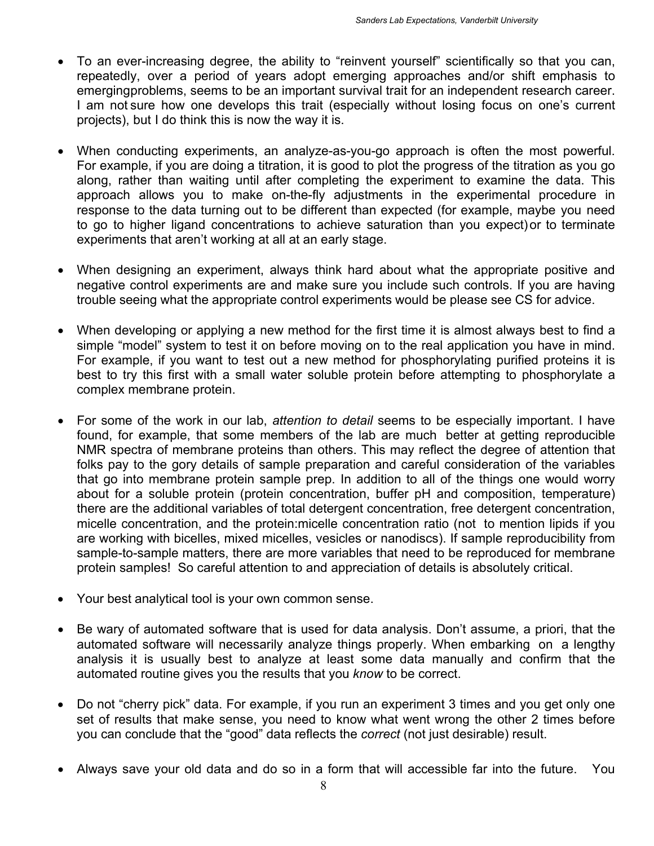- To an ever-increasing degree, the ability to "reinvent yourself" scientifically so that you can, repeatedly, over a period of years adopt emerging approaches and/or shift emphasis to emerging problems, seems to be an important survival trait for an independent research career. I am not sure how one develops this trait (especially without losing focus on one's current projects), but I do think this is now the way it is.
- When conducting experiments, an analyze-as-you-go approach is often the most powerful. For example, if you are doing a titration, it is good to plot the progress of the titration as you go along, rather than waiting until after completing the experiment to examine the data. This approach allows you to make on-the-fly adjustments in the experimental procedure in response to the data turning out to be different than expected (for example, maybe you need to go to higher ligand concentrations to achieve saturation than you expect) or to terminate experiments that aren't working at all at an early stage.
- When designing an experiment, always think hard about what the appropriate positive and negative control experiments are and make sure you include such controls. If you are having trouble seeing what the appropriate control experiments would be please see CS for advice.
- When developing or applying a new method for the first time it is almost always best to find a simple "model" system to test it on before moving on to the real application you have in mind. For example, if you want to test out a new method for phosphorylating purified proteins it is best to try this first with a small water soluble protein before attempting to phosphorylate a complex membrane protein.
- For some of the work in our lab, *attention to detail* seems to be especially important. I have found, for example, that some members of the lab are much better at getting reproducible NMR spectra of membrane proteins than others. This may reflect the degree of attention that folks pay to the gory details of sample preparation and careful consideration of the variables that go into membrane protein sample prep. In addition to all of the things one would worry about for a soluble protein (protein concentration, buffer pH and composition, temperature) there are the additional variables of total detergent concentration, free detergent concentration, micelle concentration, and the protein:micelle concentration ratio (not to mention lipids if you are working with bicelles, mixed micelles, vesicles or nanodiscs). If sample reproducibility from sample-to-sample matters, there are more variables that need to be reproduced for membrane protein samples! So careful attention to and appreciation of details is absolutely critical.
- Your best analytical tool is your own common sense.
- Be wary of automated software that is used for data analysis. Don't assume, a priori, that the automated software will necessarily analyze things properly. When embarking on a lengthy analysis it is usually best to analyze at least some data manually and confirm that the automated routine gives you the results that you *know* to be correct.
- Do not "cherry pick" data. For example, if you run an experiment 3 times and you get only one set of results that make sense, you need to know what went wrong the other 2 times before you can conclude that the "good" data reflects the *correct* (not just desirable) result.
- Always save your old data and do so in a form that will accessible far into the future. You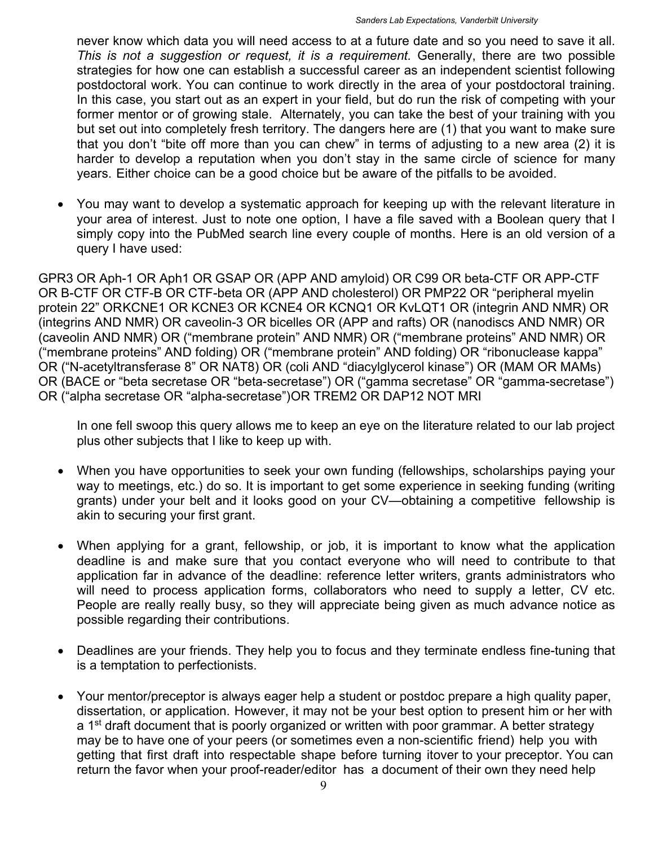never know which data you will need access to at a future date and so you need to save it all. *This is not a suggestion or request, it is a requirement.* Generally, there are two possible strategies for how one can establish a successful career as an independent scientist following postdoctoral work. You can continue to work directly in the area of your postdoctoral training. In this case, you start out as an expert in your field, but do run the risk of competing with your former mentor or of growing stale. Alternately, you can take the best of your training with you but set out into completely fresh territory. The dangers here are (1) that you want to make sure that you don't "bite off more than you can chew" in terms of adjusting to a new area (2) it is harder to develop a reputation when you don't stay in the same circle of science for many years. Either choice can be a good choice but be aware of the pitfalls to be avoided.

 You may want to develop a systematic approach for keeping up with the relevant literature in your area of interest. Just to note one option, I have a file saved with a Boolean query that I simply copy into the PubMed search line every couple of months. Here is an old version of a query I have used:

GPR3 OR Aph-1 OR Aph1 OR GSAP OR (APP AND amyloid) OR C99 OR beta-CTF OR APP-CTF OR B-CTF OR CTF-B OR CTF-beta OR (APP AND cholesterol) OR PMP22 OR "peripheral myelin protein 22" OR KCNE1 OR KCNE3 OR KCNE4 OR KCNQ1 OR KvLQT1 OR (integrin AND NMR) OR (integrins AND NMR) OR caveolin-3 OR bicelles OR (APP and rafts) OR (nanodiscs AND NMR) OR (caveolin AND NMR) OR ("membrane protein" AND NMR) OR ("membrane proteins" AND NMR) OR ("membrane proteins" AND folding) OR ("membrane protein" AND folding) OR "ribonuclease kappa" OR ("N-acetyltransferase 8" OR NAT8) OR (coli AND "diacylglycerol kinase") OR (MAM OR MAMs) OR (BACE or "beta secretase OR "beta-secretase") OR ("gamma secretase" OR "gamma-secretase") OR ("alpha secretase OR "alpha-secretase") OR TREM2 OR DAP12 NOT MRI

In one fell swoop this query allows me to keep an eye on the literature related to our lab project plus other subjects that I like to keep up with.

- When you have opportunities to seek your own funding (fellowships, scholarships paying your way to meetings, etc.) do so. It is important to get some experience in seeking funding (writing grants) under your belt and it looks good on your CV—obtaining a competitive fellowship is akin to securing your first grant.
- When applying for a grant, fellowship, or job, it is important to know what the application deadline is and make sure that you contact everyone who will need to contribute to that application far in advance of the deadline: reference letter writers, grants administrators who will need to process application forms, collaborators who need to supply a letter, CV etc. People are really really busy, so they will appreciate being given as much advance notice as possible regarding their contributions.
- Deadlines are your friends. They help you to focus and they terminate endless fine-tuning that is a temptation to perfectionists.
- Your mentor/preceptor is always eager help a student or postdoc prepare a high quality paper, dissertation, or application. However, it may not be your best option to present him or her with a  $1<sup>st</sup>$  draft document that is poorly organized or written with poor grammar. A better strategy may be to have one of your peers (or sometimes even a non-scientific friend) help you with getting that first draft into respectable shape before turning itover to your preceptor. You can return the favor when your proof-reader/editor has a document of their own they need help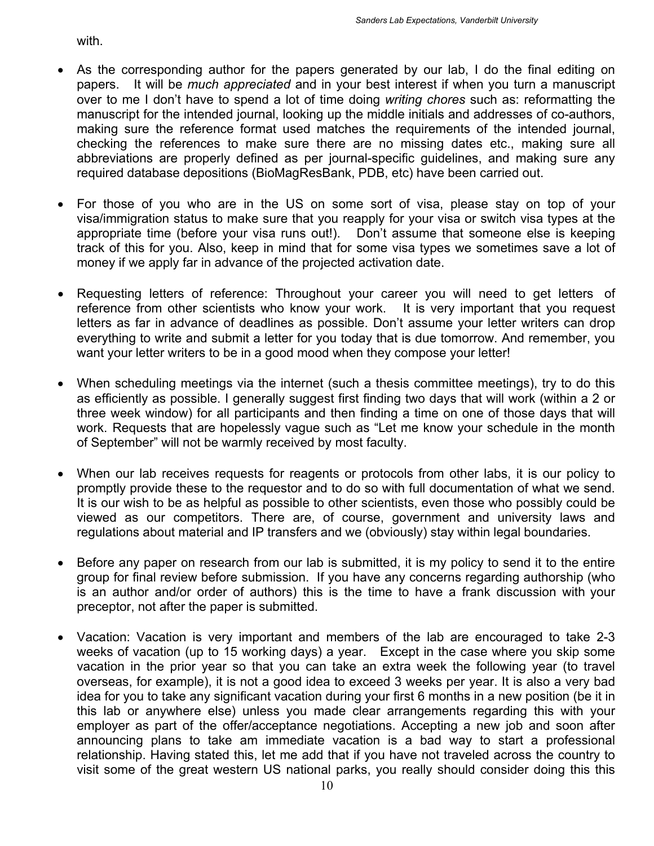with.

- As the corresponding author for the papers generated by our lab, I do the final editing on papers. It will be *much appreciated* and in your best interest if when you turn a manuscript over to me I don't have to spend a lot of time doing *writing chores* such as: reformatting the manuscript for the intended journal, looking up the middle initials and addresses of co-authors, making sure the reference format used matches the requirements of the intended journal, checking the references to make sure there are no missing dates etc., making sure all abbreviations are properly defined as per journal-specific guidelines, and making sure any required database depositions (BioMagResBank, PDB, etc) have been carried out.
- For those of you who are in the US on some sort of visa, please stay on top of your visa/immigration status to make sure that you reapply for your visa or switch visa types at the appropriate time (before your visa runs out!). Don't assume that someone else is keeping track of this for you. Also, keep in mind that for some visa types we sometimes save a lot of money if we apply far in advance of the projected activation date.
- Requesting letters of reference: Throughout your career you will need to get letters of reference from other scientists who know your work. It is very important that you request letters as far in advance of deadlines as possible. Don't assume your letter writers can drop everything to write and submit a letter for you today that is due tomorrow. And remember, you want your letter writers to be in a good mood when they compose your letter!
- When scheduling meetings via the internet (such a thesis committee meetings), try to do this as efficiently as possible. I generally suggest first finding two days that will work (within a 2 or three week window) for all participants and then finding a time on one of those days that will work. Requests that are hopelessly vague such as "Let me know your schedule in the month of September" will not be warmly received by most faculty.
- When our lab receives requests for reagents or protocols from other labs, it is our policy to promptly provide these to the requestor and to do so with full documentation of what we send. It is our wish to be as helpful as possible to other scientists, even those who possibly could be viewed as our competitors. There are, of course, government and university laws and regulations about material and IP transfers and we (obviously) stay within legal boundaries.
- Before any paper on research from our lab is submitted, it is my policy to send it to the entire group for final review before submission. If you have any concerns regarding authorship (who is an author and/or order of authors) this is the time to have a frank discussion with your preceptor, not after the paper is submitted.
- Vacation: Vacation is very important and members of the lab are encouraged to take 2-3 weeks of vacation (up to 15 working days) a year. Except in the case where you skip some vacation in the prior year so that you can take an extra week the following year (to travel overseas, for example), it is not a good idea to exceed 3 weeks per year. It is also a very bad idea for you to take any significant vacation during your first 6 months in a new position (be it in this lab or anywhere else) unless you made clear arrangements regarding this with your employer as part of the offer/acceptance negotiations. Accepting a new job and soon after announcing plans to take am immediate vacation is a bad way to start a professional relationship. Having stated this, let me add that if you have not traveled across the country to visit some of the great western US national parks, you really should consider doing this this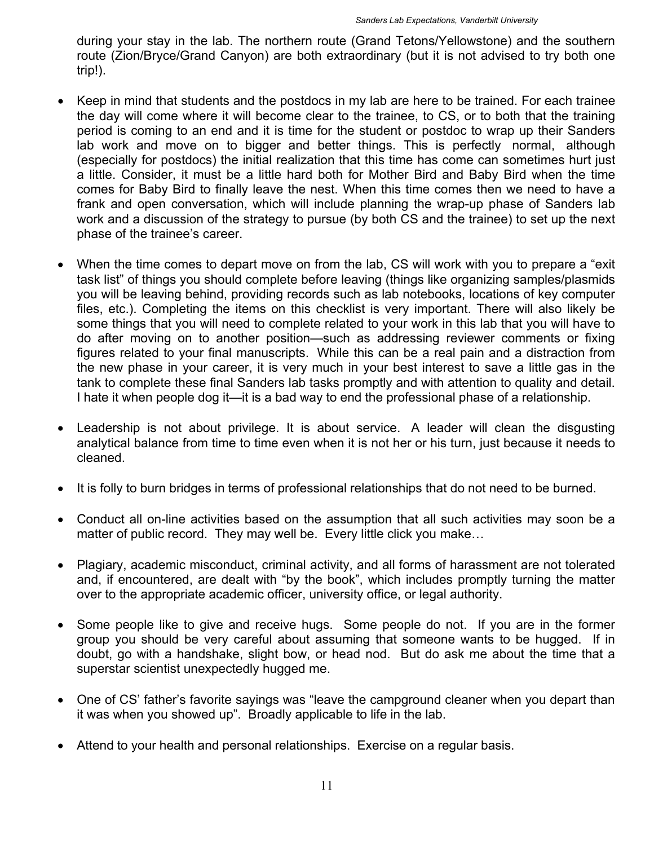during your stay in the lab. The northern route (Grand Tetons/Yellowstone) and the southern route (Zion/Bryce/Grand Canyon) are both extraordinary (but it is not advised to try both one trip!).

- Keep in mind that students and the postdocs in my lab are here to be trained. For each trainee the day will come where it will become clear to the trainee, to CS, or to both that the training period is coming to an end and it is time for the student or postdoc to wrap up their Sanders lab work and move on to bigger and better things. This is perfectly normal, although (especially for postdocs) the initial realization that this time has come can sometimes hurt just a little. Consider, it must be a little hard both for Mother Bird and Baby Bird when the time comes for Baby Bird to finally leave the nest. When this time comes then we need to have a frank and open conversation, which will include planning the wrap-up phase of Sanders lab work and a discussion of the strategy to pursue (by both CS and the trainee) to set up the next phase of the trainee's career.
- When the time comes to depart move on from the lab, CS will work with you to prepare a "exit task list" of things you should complete before leaving (things like organizing samples/plasmids you will be leaving behind, providing records such as lab notebooks, locations of key computer files, etc.). Completing the items on this checklist is very important. There will also likely be some things that you will need to complete related to your work in this lab that you will have to do after moving on to another position—such as addressing reviewer comments or fixing figures related to your final manuscripts. While this can be a real pain and a distraction from the new phase in your career, it is very much in your best interest to save a little gas in the tank to complete these final Sanders lab tasks promptly and with attention to quality and detail. I hate it when people dog it—it is a bad way to end the professional phase of a relationship.
- Leadership is not about privilege. It is about service. A leader will clean the disgusting analytical balance from time to time even when it is not her or his turn, just because it needs to cleaned.
- It is folly to burn bridges in terms of professional relationships that do not need to be burned.
- Conduct all on-line activities based on the assumption that all such activities may soon be a matter of public record. They may well be. Every little click you make…
- Plagiary, academic misconduct, criminal activity, and all forms of harassment are not tolerated and, if encountered, are dealt with "by the book", which includes promptly turning the matter over to the appropriate academic officer, university office, or legal authority.
- Some people like to give and receive hugs. Some people do not. If you are in the former group you should be very careful about assuming that someone wants to be hugged. If in doubt, go with a handshake, slight bow, or head nod. But do ask me about the time that a superstar scientist unexpectedly hugged me.
- One of CS' father's favorite sayings was "leave the campground cleaner when you depart than it was when you showed up". Broadly applicable to life in the lab.
- Attend to your health and personal relationships. Exercise on a regular basis.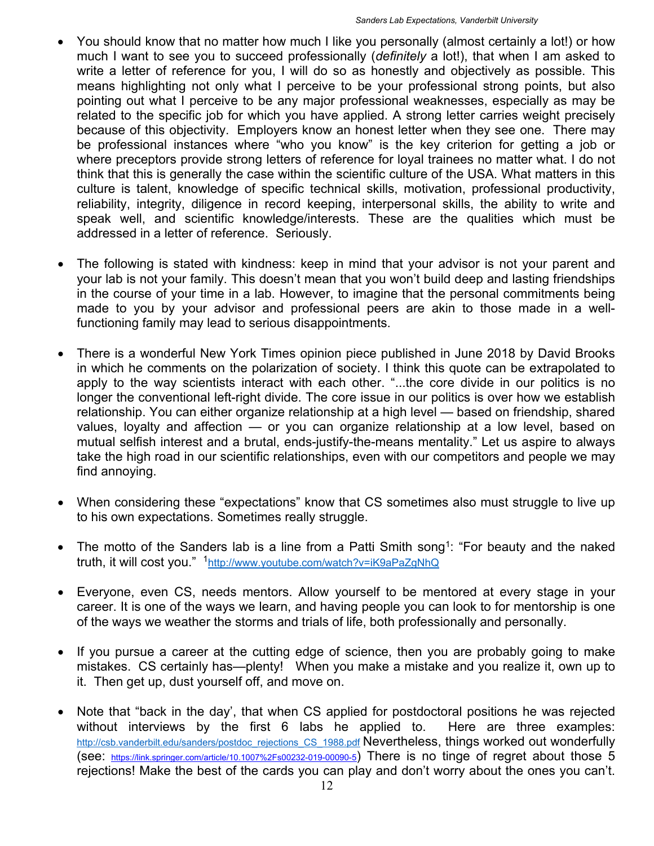- You should know that no matter how much I like you personally (almost certainly a lot!) or how much I want to see you to succeed professionally (*definitely* a lot!), that when I am asked to write a letter of reference for you, I will do so as honestly and objectively as possible. This means highlighting not only what I perceive to be your professional strong points, but also pointing out what I perceive to be any major professional weaknesses, especially as may be related to the specific job for which you have applied. A strong letter carries weight precisely because of this objectivity. Employers know an honest letter when they see one. There may be professional instances where "who you know" is the key criterion for getting a job or where preceptors provide strong letters of reference for loyal trainees no matter what. I do not think that this is generally the case within the scientific culture of the USA. What matters in this culture is talent, knowledge of specific technical skills, motivation, professional productivity, reliability, integrity, diligence in record keeping, interpersonal skills, the ability to write and speak well, and scientific knowledge/interests. These are the qualities which must be addressed in a letter of reference. Seriously.
- The following is stated with kindness: keep in mind that your advisor is not your parent and your lab is not your family. This doesn't mean that you won't build deep and lasting friendships in the course of your time in a lab. However, to imagine that the personal commitments being made to you by your advisor and professional peers are akin to those made in a wellfunctioning family may lead to serious disappointments.
- There is a wonderful New York Times opinion piece published in June 2018 by David Brooks in which he comments on the polarization of society. I think this quote can be extrapolated to apply to the way scientists interact with each other. "...the core divide in our politics is no longer the conventional left-right divide. The core issue in our politics is over how we establish relationship. You can either organize relationship at a high level — based on friendship, shared values, loyalty and affection — or you can organize relationship at a low level, based on mutual selfish interest and a brutal, ends-justify-the-means mentality." Let us aspire to always take the high road in our scientific relationships, even with our competitors and people we may find annoying.
- When considering these "expectations" know that CS sometimes also must struggle to live up to his own expectations. Sometimes really struggle.
- The motto of the Sanders lab is a line from a Patti Smith song<sup>1</sup>: "For beauty and the naked truth, it will cost you." 1http://www.youtube.com/watch?v=iK9aPaZgNhQ
- Everyone, even CS, needs mentors. Allow yourself to be mentored at every stage in your career. It is one of the ways we learn, and having people you can look to for mentorship is one of the ways we weather the storms and trials of life, both professionally and personally.
- If you pursue a career at the cutting edge of science, then you are probably going to make mistakes. CS certainly has—plenty! When you make a mistake and you realize it, own up to it. Then get up, dust yourself off, and move on.
- Note that "back in the day', that when CS applied for postdoctoral positions he was rejected without interviews by the first 6 labs he applied to. Here are three examples: http://csb.vanderbilt.edu/sanders/postdoc\_rejections\_CS\_1988.pdf Nevertheless, things worked out wonderfully (see: https://link.springer.com/article/10.1007%2Fs00232-019-00090-5) There is no tinge of regret about those 5 rejections! Make the best of the cards you can play and don't worry about the ones you can't.